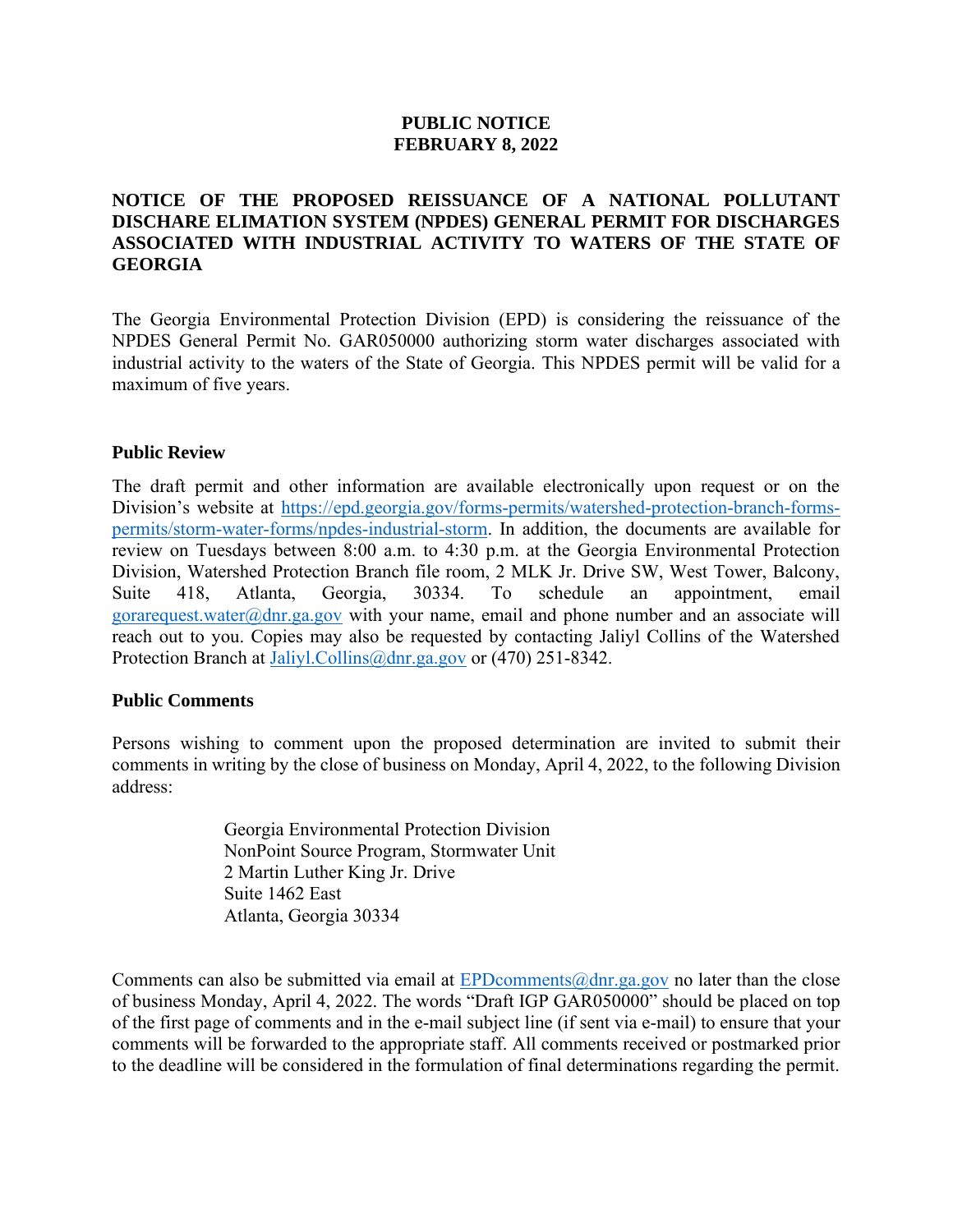# **PUBLIC NOTICE FEBRUARY 8, 2022**

# **NOTICE OF THE PROPOSED REISSUANCE OF A NATIONAL POLLUTANT DISCHARE ELIMATION SYSTEM (NPDES) GENERAL PERMIT FOR DISCHARGES ASSOCIATED WITH INDUSTRIAL ACTIVITY TO WATERS OF THE STATE OF GEORGIA**

The Georgia Environmental Protection Division (EPD) is considering the reissuance of the NPDES General Permit No. GAR050000 authorizing storm water discharges associated with industrial activity to the waters of the State of Georgia. This NPDES permit will be valid for a maximum of five years.

### **Public Review**

The draft permit and other information are available electronically upon request or on the Division's website at [https://epd.georgia.gov/forms-permits/watershed-protection-branch-forms](https://epd.georgia.gov/forms-permits/watershed-protection-branch-forms-permits/storm-water-forms/npdes-industrial-storm)[permits/storm-water-forms/npdes-industrial-storm.](https://epd.georgia.gov/forms-permits/watershed-protection-branch-forms-permits/storm-water-forms/npdes-industrial-storm) In addition, the documents are available for review on Tuesdays between 8:00 a.m. to 4:30 p.m. at the Georgia Environmental Protection Division, Watershed Protection Branch file room, 2 MLK Jr. Drive SW, West Tower, Balcony, Suite 418, Atlanta, Georgia, 30334. To schedule an appointment, email [gorarequest.water@dnr.ga.gov](mailto:gorarequest.water@dnr.ga.gov) with your name, email and phone number and an associate will reach out to you. Copies may also be requested by contacting Jaliyl Collins of the Watershed Protection Branch at [Jaliyl.Collins@dnr.ga.gov](mailto:Jaliyl.Collins@dnr.ga.gov) or (470) 251-8342.

#### **Public Comments**

Persons wishing to comment upon the proposed determination are invited to submit their comments in writing by the close of business on Monday, April 4, 2022, to the following Division address:

> Georgia Environmental Protection Division NonPoint Source Program, Stormwater Unit 2 Martin Luther King Jr. Drive Suite 1462 East Atlanta, Georgia 30334

Comments can also be submitted via email at  $EPD$ comments $@dm$  ga.gov no later than the close of business Monday, April 4, 2022. The words "Draft IGP GAR050000" should be placed on top of the first page of comments and in the e-mail subject line (if sent via e-mail) to ensure that your comments will be forwarded to the appropriate staff. All comments received or postmarked prior to the deadline will be considered in the formulation of final determinations regarding the permit.